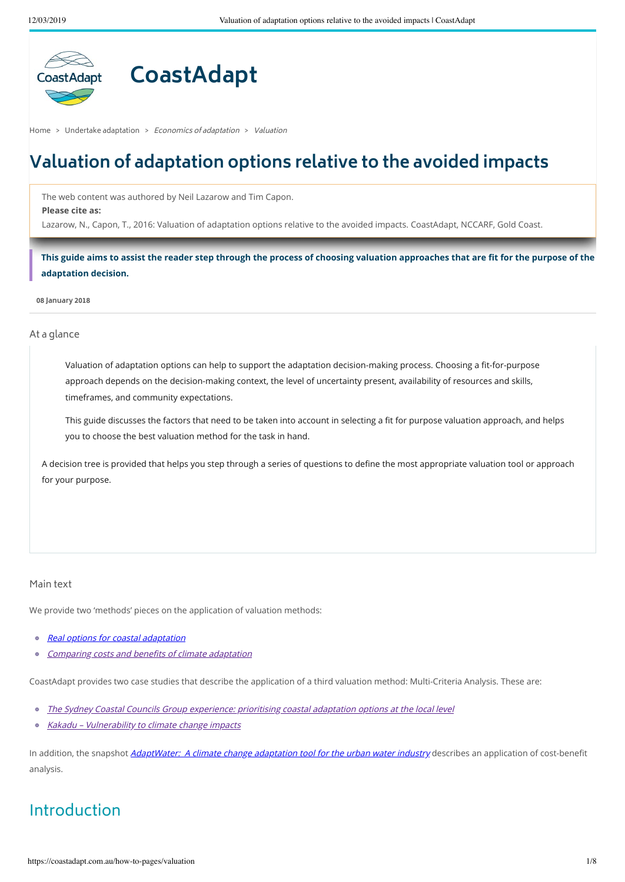

# **CoastAdapt**

[Home](https://coastadapt.com.au/) > Undertake [adaptation](https://coastadapt.com.au/undertake-adaptation) > Economics of adaptation > Valuation

## **Valuation of adaptation options relative to the avoided impacts**

The web content was authored by Neil Lazarow and Tim Capon. **Please cite as:**

Lazarow, N., Capon, T., 2016: Valuation of adaptation options relative to the avoided impacts. CoastAdapt, NCCARF, Gold Coast.

This guide aims to assist the reader step through the process of choosing valuation approaches that are fit for the purpose of the **adaptation decision.**

**08 January 2018**

At a glance

Valuation of adaptation options can help to support the adaptation decision-making process. Choosing a fit-for-purpose approach depends on the decision-making context, the level of uncertainty present, availability of resources and skills, timeframes, and community expectations.

This guide discusses the factors that need to be taken into account in selecting a fit for purpose valuation approach, and helps you to choose the best valuation method for the task in hand.

A decision tree is provided that helps you step through a series of questions to define the most appropriate valuation tool or approach for your purpose.

### Main text

We provide two 'methods' pieces on the application of valuation methods:

- $\circ$ Real options for coastal [adaptation](https://coastadapt.com.au/factsheets/real-options-coastal-adaptation)
- [Comparing](https://coastadapt.com.au/factsheets/brief-guide-comparing-costs-and-benefits-climate-adaptation) costs and benefits of climate adaptation  $\circ$

CoastAdapt provides two case studies that describe the application of a third valuation method: Multi-Criteria Analysis. These are:

- The Sydney Coastal Councils Group [experience:](https://coastadapt.com.au/case-studies/prioritising-coastal-adaptation-development-options-local-government) prioritising coastal adaptation options at the local level
- Kakadu [Vulnerability](https://coastadapt.com.au/case-studies/kakadu-vulnerability-climate-change-impacts) to climate change impacts

In addition, the snapshot *[AdaptWater:](https://coastadapt.com.au/case-studies/adaptwater-climate-change-adaptation-tool-urban-water-industry) A climate change adaptation tool for the urban water industry* describes an application of cost-benefit analysis.

### Introduction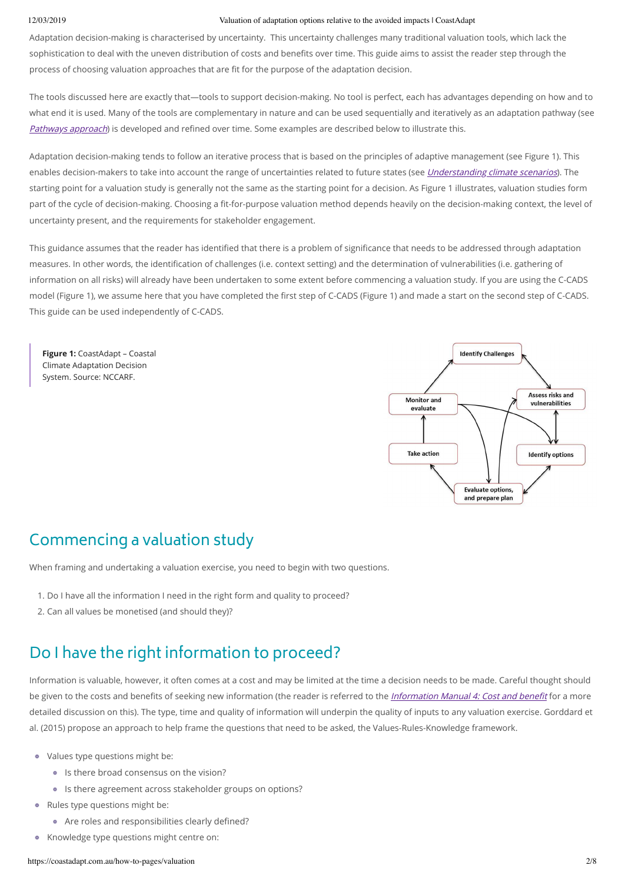Adaptation decision-making is characterised by uncertainty. This uncertainty challenges many traditional valuation tools, which lack the sophistication to deal with the uneven distribution of costs and benefits over time. This guide aims to assist the reader step through the process of choosing valuation approaches that are fit for the purpose of the adaptation decision.

The tools discussed here are exactly that—tools to support decision-making. No tool is perfect, each has advantages depending on how and to what end it is used. Many of the tools are complementary in nature and can be used sequentially and iteratively as an adaptation pathway (see [Pathways](https://coastadapt.com.au/pathways-approach) approach) is developed and refined over time. Some examples are described below to illustrate this.

Adaptation decision-making tends to follow an iterative process that is based on the principles of adaptive management (see Figure 1). This enables decision-makers to take into account the range of uncertainties related to future states (see *[Understanding](https://coastadapt.com.au/how-to-pages/how-to-understand-climate-change-scenarios) climate scenarios*). The starting point for a valuation study is generally not the same as the starting point for a decision. As Figure 1 illustrates, valuation studies form part of the cycle of decision-making. Choosing a fit-for-purpose valuation method depends heavily on the decision-making context, the level of uncertainty present, and the requirements for stakeholder engagement.

This guidance assumes that the reader has identified that there is a problem of significance that needs to be addressed through adaptation measures. In other words, the identification of challenges (i.e. context setting) and the determination of vulnerabilities (i.e. gathering of information on all risks) will already have been undertaken to some extent before commencing a valuation study. If you are using the C-CADS model (Figure 1), we assume here that you have completed the first step of C-CADS (Figure 1) and made a start on the second step of C-CADS. This guide can be used independently of C-CADS.

**Figure 1:** CoastAdapt – Coastal Climate Adaptation Decision System. Source: NCCARF.



### Commencing a valuation study

When framing and undertaking a valuation exercise, you need to begin with two questions.

- 1. Do I have all the information I need in the right form and quality to proceed?
- 2. Can all values be monetised (and should they)?

### Do I have the right information to proceed?

Information is valuable, however, it often comes at a cost and may be limited at the time a decision needs to be made. Careful thought should be given to the costs and benefits of seeking new information (the reader is referred to the *[Information](https://coastadapt.com.au/information-manuals/assessing-costs-and-benefits-of-coastal-climate-adaptation) Manual 4: Cost and benefit* for a more detailed discussion on this). The type, time and quality of information will underpin the quality of inputs to any valuation exercise. Gorddard et al. (2015) propose an approach to help frame the questions that need to be asked, the Values-Rules-Knowledge framework.

- Values type questions might be:
	- **Is there broad consensus on the vision?**
	- Is there agreement across stakeholder groups on options?
- Rules type questions might be:
	- Are roles and responsibilities clearly defined?
- Knowledge type questions might centre on: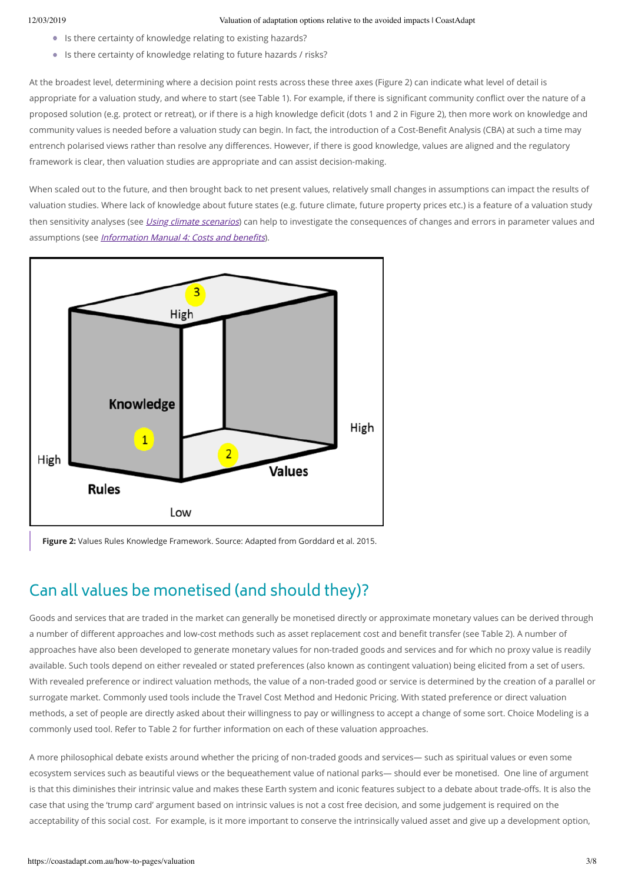- Is there certainty of knowledge relating to existing hazards?
- Is there certainty of knowledge relating to future hazards / risks?

At the broadest level, determining where a decision point rests across these three axes (Figure 2) can indicate what level of detail is appropriate for a valuation study, and where to start (see Table 1). For example, if there is significant community conflict over the nature of a proposed solution (e.g. protect or retreat), or if there is a high knowledge deficit (dots 1 and 2 in Figure 2), then more work on knowledge and community values is needed before a valuation study can begin. In fact, the introduction of a Cost-Benefit Analysis (CBA) at such a time may entrench polarised views rather than resolve any differences. However, if there is good knowledge, values are aligned and the regulatory framework is clear, then valuation studies are appropriate and can assist decision-making.

When scaled out to the future, and then brought back to net present values, relatively small changes in assumptions can impact the results of valuation studies. Where lack of knowledge about future states (e.g. future climate, future property prices etc.) is a feature of a valuation study then sensitivity analyses (see Using climate [scenarios](https://coastadapt.com.au/how-to-pages/how-to-use-climate-change-scenarios-to-evaluate-risk-plan-and-make-decisions)) can help to investigate the consequences of changes and errors in parameter values and assumptions (see *[Information](https://coastadapt.com.au/information-manuals/assessing-costs-and-benefits-of-coastal-climate-adaptation) Manual 4: Costs and benefits*).



**Figure 2:** Values Rules Knowledge Framework. Source: Adapted from Gorddard et al. 2015.

### Can all values be monetised (and should they)?

Goods and services that are traded in the market can generally be monetised directly or approximate monetary values can be derived through a number of different approaches and low-cost methods such as asset replacement cost and benefit transfer (see Table 2). A number of approaches have also been developed to generate monetary values for non-traded goods and services and for which no proxy value is readily available. Such tools depend on either revealed or stated preferences (also known as contingent valuation) being elicited from a set of users. With revealed preference or indirect valuation methods, the value of a non-traded good or service is determined by the creation of a parallel or surrogate market. Commonly used tools include the Travel Cost Method and Hedonic Pricing. With stated preference or direct valuation methods, a set of people are directly asked about their willingness to pay or willingness to accept a change of some sort. Choice Modeling is a commonly used tool. Refer to Table 2 for further information on each of these valuation approaches.

A more philosophical debate exists around whether the pricing of non-traded goods and services— such as spiritual values or even some ecosystem services such as beautiful views or the bequeathement value of national parks— should ever be monetised. One line of argument is that this diminishes their intrinsic value and makes these Earth system and iconic features subject to a debate about trade-offs. It is also the case that using the 'trump card' argument based on intrinsic values is not a cost free decision, and some judgement is required on the acceptability of this social cost. For example, is it more important to conserve the intrinsically valued asset and give up a development option,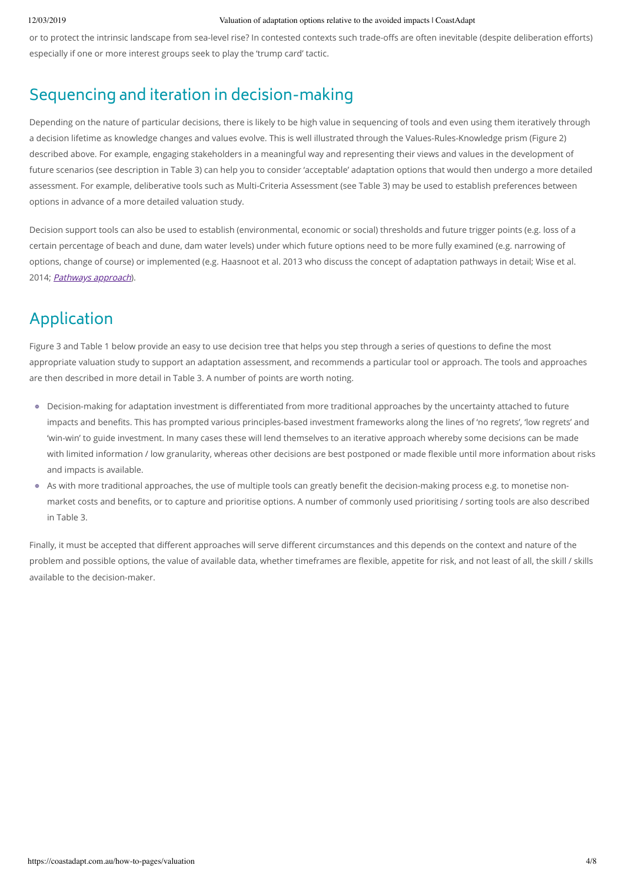or to protect the intrinsic landscape from sea-level rise? In contested contexts such trade-offs are often inevitable (despite deliberation efforts) especially if one or more interest groups seek to play the 'trump card' tactic.

### Sequencing and iteration in decision-making

Depending on the nature of particular decisions, there is likely to be high value in sequencing of tools and even using them iteratively through a decision lifetime as knowledge changes and values evolve. This is well illustrated through the Values-Rules-Knowledge prism (Figure 2) described above. For example, engaging stakeholders in a meaningful way and representing their views and values in the development of future scenarios (see description in Table 3) can help you to consider 'acceptable' adaptation options that would then undergo a more detailed assessment. For example, deliberative tools such as Multi-Criteria Assessment (see Table 3) may be used to establish preferences between options in advance of a more detailed valuation study.

Decision support tools can also be used to establish (environmental, economic or social) thresholds and future trigger points (e.g. loss of a certain percentage of beach and dune, dam water levels) under which future options need to be more fully examined (e.g. narrowing of options, change of course) or implemented (e.g. Haasnoot et al. 2013 who discuss the concept of adaptation pathways in detail; Wise et al. 2014; *[Pathways](https://coastadapt.com.au/pathways-approach) approach*).

## Application

Figure 3 and Table 1 below provide an easy to use decision tree that helps you step through a series of questions to define the most appropriate valuation study to support an adaptation assessment, and recommends a particular tool or approach. The tools and approaches are then described in more detail in Table 3. A number of points are worth noting.

- Decision-making for adaptation investment is differentiated from more traditional approaches by the uncertainty attached to future impacts and benefits. This has prompted various principles-based investment frameworks along the lines of 'no regrets', 'low regrets' and 'win-win' to guide investment. In many cases these will lend themselves to an iterative approach whereby some decisions can be made with limited information / low granularity, whereas other decisions are best postponed or made flexible until more information about risks and impacts is available.
- As with more traditional approaches, the use of multiple tools can greatly benefit the decision-making process e.g. to monetise nonmarket costs and benefits, or to capture and prioritise options. A number of commonly used prioritising / sorting tools are also described in Table 3.

Finally, it must be accepted that different approaches will serve different circumstances and this depends on the context and nature of the problem and possible options, the value of available data, whether timeframes are flexible, appetite for risk, and not least of all, the skill / skills available to the decision-maker.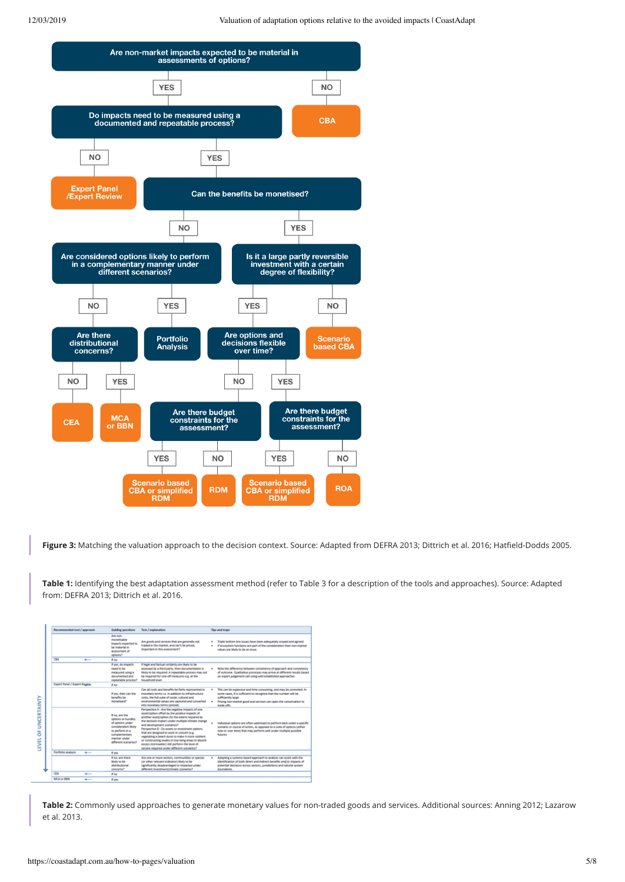

Figure 3: Matching the valuation approach to the decision context. Source: Adapted from DEFRA 2013; Dittrich et al. 2016; Hatfield-Dodds 2005.

**Table 1:** Identifying the best adaptation assessment method (refer to Table 3 for a description of the tools and approaches). Source: Adapted from: DEFRA 2013; Dittrich et al. 2016.

| Recommended tool / approach   |     | Guiding questions                                                                                                                                            | Text / explanation                                                                                                                                                                                                                                                                                                                                                                                                                                                                                                                                     |        | Tion and traon                                                                                                                                                                                                                                     |  |  |
|-------------------------------|-----|--------------------------------------------------------------------------------------------------------------------------------------------------------------|--------------------------------------------------------------------------------------------------------------------------------------------------------------------------------------------------------------------------------------------------------------------------------------------------------------------------------------------------------------------------------------------------------------------------------------------------------------------------------------------------------------------------------------------------------|--------|----------------------------------------------------------------------------------------------------------------------------------------------------------------------------------------------------------------------------------------------------|--|--|
|                               |     | Are non-<br>moneticable<br>impacts expected to<br>be material in<br>accessment of<br>options?                                                                | Are goods and services that are generally not<br>traded in the market, and can't be priced.<br>important in this assessment?                                                                                                                                                                                                                                                                                                                                                                                                                           | ٠<br>٠ | Triple bottom line issues have been adequately scoped and agreed.<br>If econotem functions are part of the consideration then non-market.<br>values are likely to be an issue.                                                                     |  |  |
| CBA                           | -   | If no                                                                                                                                                        |                                                                                                                                                                                                                                                                                                                                                                                                                                                                                                                                                        |        |                                                                                                                                                                                                                                                    |  |  |
|                               |     | If yes, do impacts<br>need to be<br>measured using a<br>documented and<br>repeatable process?                                                                | If legal and factual certainty are likely to be<br>assessed by a third party, then documentation is<br>likely to be required. A repeatable process may not<br>be required for one-off measures e.g. at the<br><b>PutuntarPunist langed</b>                                                                                                                                                                                                                                                                                                             |        | Note the difference between consistency of approach and consistency<br>of outcome. Qualitative processes may arrive at different results based<br>on expert judgement call using well-established approaches.                                      |  |  |
| Expert Panel / Expert Regiew. |     | if no.                                                                                                                                                       |                                                                                                                                                                                                                                                                                                                                                                                                                                                                                                                                                        |        |                                                                                                                                                                                                                                                    |  |  |
|                               |     | If yes, then can the<br>benefits be<br>monetised?                                                                                                            | Can all costs and benefits be fairly represented in<br>monetary terms i.e. in addition to infrastructure<br>coch, the full suite of social, cultural and<br>ampleoperated unknown was zealisty talent-menomena-<br>into monetary terms (priced).                                                                                                                                                                                                                                                                                                       |        | This can be expensive and time consuming, and may be contested. In<br>some cases, it is sufficient to recognise that the number will be<br>sufficiently large.<br>Pricing non-market good and services can open the conversation to<br>trade offs. |  |  |
|                               |     | If no, are the<br>cetions or bundles<br>of options under<br>concideration likely<br>to cerform in a<br>complementary<br>manner under<br>different scenarios? | Perspective A - Are the negative impacts of one<br>asset/option offset by the positive impacts of<br>another asset/option its the extent required by<br>the decision-maker) under multiple climate change<br>and development scenarios?<br>Perspective 8 - Do assets or investment options<br>that are designed to work in concert (e.g.<br>vegetating a beach dune to make it more resilient.<br>or constructing swales in low-lying areas to absorb-<br>excess stormwater) still perform the level of<br>service required under different scenarios? |        | Individual options are often optimised to perform best under a specific<br>scenario or course of action, as opposed to a suite of options leither<br>now or over time) that may perform well under multiple possible<br>futures.                   |  |  |
| Portfolio analysis            | سنه | If yes                                                                                                                                                       |                                                                                                                                                                                                                                                                                                                                                                                                                                                                                                                                                        |        |                                                                                                                                                                                                                                                    |  |  |
|                               |     | If no, are there<br>Skely to be<br>distributional<br>concerns?                                                                                               | Are one or more sectors, communities or species<br>(or other relevant indicator) likely to be<br>significantly disadvantaged or impacted under<br>different investment/climate scenarios?                                                                                                                                                                                                                                                                                                                                                              |        | Adopting a systems-based approach to analysis can assist with the<br>identification of both direct and indirect benefits and/or impacts of<br>potential decisions across sectors, jurisdictions and natural system<br>boundaries.                  |  |  |
| CEA                           |     | If no.                                                                                                                                                       |                                                                                                                                                                                                                                                                                                                                                                                                                                                                                                                                                        |        |                                                                                                                                                                                                                                                    |  |  |
| MCA or BBN                    | . . | If yes                                                                                                                                                       |                                                                                                                                                                                                                                                                                                                                                                                                                                                                                                                                                        |        |                                                                                                                                                                                                                                                    |  |  |
|                               |     |                                                                                                                                                              |                                                                                                                                                                                                                                                                                                                                                                                                                                                                                                                                                        |        |                                                                                                                                                                                                                                                    |  |  |

**Table 2:** Commonly used approaches to generate monetary values for non-traded goods and services. Additional sources: Anning 2012; Lazarow et al. 2013.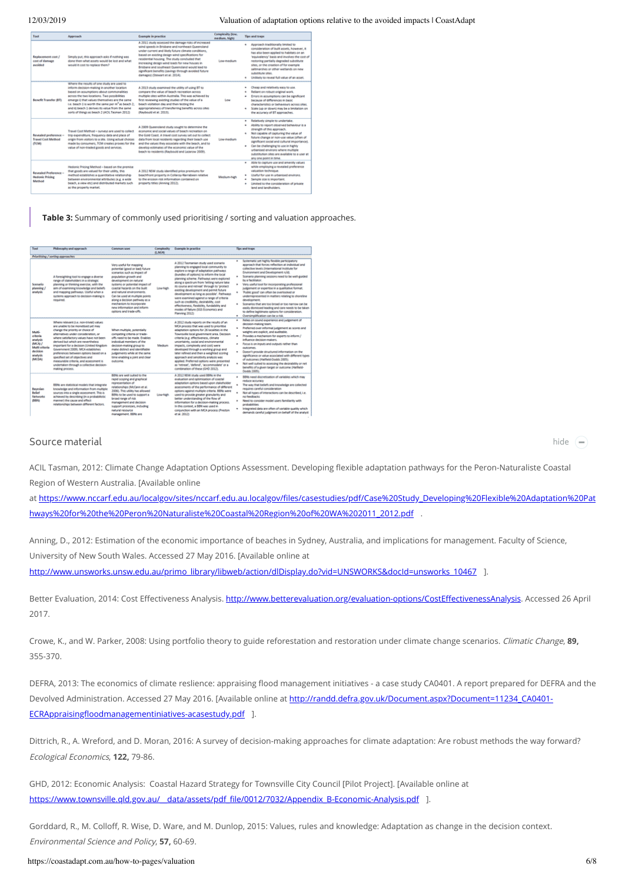| Tool                                                        | Approach                                                                                                                                                                                                                                                                                                                                                                                                   | <b>Example in practice</b>                                                                                                                                                                                                                                                                                                                                                                                                                                           | Conspeciency (sour)<br>medium, high) | Tips and traps                                                                                                                                                                                                                                                                                                                                                                                                   |  |
|-------------------------------------------------------------|------------------------------------------------------------------------------------------------------------------------------------------------------------------------------------------------------------------------------------------------------------------------------------------------------------------------------------------------------------------------------------------------------------|----------------------------------------------------------------------------------------------------------------------------------------------------------------------------------------------------------------------------------------------------------------------------------------------------------------------------------------------------------------------------------------------------------------------------------------------------------------------|--------------------------------------|------------------------------------------------------------------------------------------------------------------------------------------------------------------------------------------------------------------------------------------------------------------------------------------------------------------------------------------------------------------------------------------------------------------|--|
| Replacement cost /<br>cost of damage<br>aucléod             | Simply put, this approach asks if nothing was<br>done then what accets would be lost and what<br>would it cost to replace them?                                                                                                                                                                                                                                                                            | A 2011 study assessed the damage risks of increased<br>wind speeds in Brisbane and northeast Queencland.<br>under current and likely future climate conditions.<br>based on existing design wind specifications for<br>residential housing. The study concluded that<br>increasing design wind loads for new houses in<br>Brisbane and southeast Queensland would lead to<br>significant benefits (savings through avoided future<br>damages) (Stewart et al. 2014). | Low-medium                           | Apergach traditionally limited to<br>consideration of built assets, however, it<br>has also been applied to habitats on an<br>'equivalency' basis and involves the cost of<br>restoring partially degraded substitute<br>sites, or the creation of for example<br>saltmarshes or other wetlands on new<br>substitute sites.<br>Unlikely to reveal full value of an asset.<br>٠                                   |  |
| Benefit Transfer (BT)                                       | Where the results of one study are used to<br>inform decision-making in another location<br>based on assumptions about commonalities<br>across the two locations. Two possibilities<br>emerge ii that values themselves are the same<br>i.e. beach 1 is worth the same per m <sup>8</sup> as beach 2:<br>and ill beach 1 derives its value from the same<br>sorts of things as beach 2 (ACI), Tasman 2012) | A 2013 study examined the utility of using BT to<br>compare the value of beach recreation across.<br>multiple sites within Australia. This was achieved by<br>first reviewing existing studies of the value of a<br>beach visitation day and then testing the<br>appropriateness of transferring benefits across sites<br>(Revbould et al. 2015).                                                                                                                    | Low                                  | Cheap and relatively easy to use.<br>Reliant on robust original work.<br>Emors in assumptions can be significant<br>٠<br>because of differences in basic<br>characteristics or behaviours across sites.<br>Scale ous or down) may be a limitation on<br>the accuracy of 87 approaches.                                                                                                                           |  |
| Revealed preference -<br><b>Travel Cost Method</b><br>(TCM) | Travel Cost Method - surveys are used to collect.<br>trip expenditure, frequency data and place of<br>origin from visitors to a site. Using actual choices<br>made by consumers, TCM creates provies for the<br>value of non-traded goods and services.                                                                                                                                                    | A 2009 Queensland study sought to determine the<br>economic and social values of beach recreation on<br>the Gold Coast. A travel cost survey set out to collect.<br>data from local residents regarding their beach use<br>and the values they associate with the beach, and to<br>develop estimates of the economic value of the<br>beach to residents (Raybould and Lazarow 3009).                                                                                 | Low-medium                           | Relatively simple to undertake.<br>٠<br>Ability to report observed behaviour is a<br>strength of this approach.<br>Not capable of capturing the value of<br>۰<br>future change or non-use value (often of<br>significant social and cultural importance).<br>Can be challenging to use in highly<br>wisition everly problem behindler<br>substitution sites are available to a user at<br>any one point in time. |  |
| Revealed Preference -<br><b>Hedonic Pricing</b><br>Method   | Hedonic Pricing Method - based on the premise<br>that epods are uslaed for their utility, this<br>method establishes a quantitative relationship<br>between environmental attributes (e.g. a wide<br>beach, a view etc) and distributed markets such<br>as the property market.                                                                                                                            | A 2012 NSW study identified price premiums for<br>beachfront property in Collaroy-Narrabeen relative<br>to the erosion risk information contained on<br>property titles (Anning 2012).                                                                                                                                                                                                                                                                               | Medium-high                          | Able to capture use and amenity values.<br>٠<br>while employing a revealed preference<br>valuation technique.<br>Useful for use in urbanised environs.<br>٠<br>Sample size is important.<br>٠<br>Limited to the consideration of orivane<br>٠<br>land and landholders.                                                                                                                                           |  |

**Table 3:** Summary of commonly used prioritising / sorting and valuation approaches.

| Toyot                                                                                              | Philosophy and approach                                                                                                                                                                                                                                                                                                                                                                                                                                                                                              | <b>Common uses</b>                                                                                                                                                                                                                                                                                                                                                                                  | Complexity<br>(LM/6) | Example in practice                                                                                                                                                                                                                                                                                                                                                                                                                                                                                                                                                                                 | Tips and traps                                                                                                                                                                                                                                                                                                                                                                                                                                                                                                                                                                                                                                                                                                          |
|----------------------------------------------------------------------------------------------------|----------------------------------------------------------------------------------------------------------------------------------------------------------------------------------------------------------------------------------------------------------------------------------------------------------------------------------------------------------------------------------------------------------------------------------------------------------------------------------------------------------------------|-----------------------------------------------------------------------------------------------------------------------------------------------------------------------------------------------------------------------------------------------------------------------------------------------------------------------------------------------------------------------------------------------------|----------------------|-----------------------------------------------------------------------------------------------------------------------------------------------------------------------------------------------------------------------------------------------------------------------------------------------------------------------------------------------------------------------------------------------------------------------------------------------------------------------------------------------------------------------------------------------------------------------------------------------------|-------------------------------------------------------------------------------------------------------------------------------------------------------------------------------------------------------------------------------------------------------------------------------------------------------------------------------------------------------------------------------------------------------------------------------------------------------------------------------------------------------------------------------------------------------------------------------------------------------------------------------------------------------------------------------------------------------------------------|
|                                                                                                    | Priceltising / sorting-approaches                                                                                                                                                                                                                                                                                                                                                                                                                                                                                    |                                                                                                                                                                                                                                                                                                                                                                                                     |                      |                                                                                                                                                                                                                                                                                                                                                                                                                                                                                                                                                                                                     |                                                                                                                                                                                                                                                                                                                                                                                                                                                                                                                                                                                                                                                                                                                         |
| Scenario<br>stanning /<br>anatysis                                                                 | A foresighting tool to engage a diverse<br>range of stakeholders in a strategic<br>planning or thinking exercise, with the<br>aim of examining knowledge and beliefs<br>and mapping pathways. Useful when a<br>systems approach to decision-making is<br>required.                                                                                                                                                                                                                                                   | Very useful for mapping<br>potential (good or bad) future<br>scenarios such as impact of<br>population prouth and<br>development on natural<br>tyrowns or potential impact of<br>coastal hacands on the built<br>and natural environments.<br>Can be used at multiple points<br>along a decision pathway as a<br>mechanism to incorporate<br>new information and inform.<br>cetions and trade offs. | <b>Low-high</b>      | A 2012 Taumanian study used scenario<br>planning to engaged local community to<br>explore a range of adaptation pathways<br>doundles of options) to inform the local<br>planning scheme. Pathways were explored<br>along a spectrum from Tetting nature take<br>its course and retreat' through to 'protect<br>existing development and permit future<br>development at long at possible'. Pathways<br>were examined against a range of criteria<br>such as credibility, desirability, cost<br>effectiveness, flexibility, fundability and<br>modes of failure (5GS Economics and<br>Planning 2012) | Systematic yet highly flexible participatory<br>approach that forces reflection at individual and<br>collective levels dispersational institute for<br>Environment and Development rule).<br>Scenario planning sessions need to be well-guided<br>by a facilitator.<br>Very useful tool for incorporating professional<br>٠<br>judgement or expertise in a qualitative format.<br>'Public good' can often be overlooked or<br>underrepresented in matters relating to shoreline<br>development.<br>Spenarios that are too broad or too namow can be<br>٠<br>easily dismissed leading and care needs to be taken.<br>to define legitimate options for consideration.<br>Oversimplification can be a risk<br>$\mathbf{a}$ |
| Multi-<br>criteria<br>analysis<br><b>BACAL</b><br>Molti criteria<br>declolon<br>anatysis<br>(MCDA) | Where nelevant (i.e. non-trivial) values<br>are unable to be moneticed uet may<br>change the priority or choice of<br>alternatives under consideration, or<br>where satisfactory values have not been<br>derived but which are nevertheless<br>important for a decision (Linited Kingdom<br>Government 2009). MCA establishes<br>preferences between options based on a<br>specified set of objectives and<br>measurable criteria, and assessment is<br>undertaken through a collective decision-<br>making process. | When multiple, potentially<br>competing criteria or trade-<br>offs need to be made. Enables<br>individual members of the<br>decision-making group to<br>make detire't and identifiable<br>judgements while at the same<br>time enabling a joint and clear<br><b>ENRAGINAL</b>                                                                                                                       | Medium.              | A 2012 study reports on the results of an<br>MCA process that was used to prioritise<br>adaptation options for 26 localities in the<br>Townsville local government area. Decision<br>criteria (e.g. effectiveness, climate<br>uncertainty, social and environmental<br>impacts, complexity and cost) were<br>developed through a working group and<br>later refined and then a weighted scoring<br>approach and sensitivity analysis was<br>applied. Preferred options were presented.<br>as 'retreat', 'defend', 'accommodate' or a<br>combination of these (GHD 2012).                            | Relies on sound experience and judgement of<br>٠<br>decision-making team.<br>Preferred over informal judgement as scores and<br>weights are explicit, and auditable.<br>Provides a mechanism for experts to inform /<br>influence decision-makers.<br>Focus is on inputs and outputs rather than<br>٠<br>outcomes.<br>Doesn't provide structured information on the<br>۰<br>significance or value associated with different types.<br>of outcomes (Hatfletd-Dodds 2005).<br>Not well suited to assessing the desirability or net.<br>benefits of a given target or outcome (Hatfield-<br>Dedds 2005)                                                                                                                    |
| <b>Bayesian</b><br><b>Bellet</b><br><b>Networks</b><br>didno                                       | 88Ns are statistical models that integrate<br>knowledge and information from multiple<br>sources into a single assessment. This is<br>achieved by describing (in a probabilistic<br>manner) the cause and effect<br>relationships between different factors.                                                                                                                                                                                                                                                         | <b>BBN:</b> are well suited to the<br>rapid scoping and graphical<br>representation of<br>relationships (McCann et al.<br>2006). This utility has allowed<br>BBNs to be used to support a<br>broad range of risk<br>management and decision<br>support processes, including<br>natural resource<br>management, BBNs are                                                                             | Low-high             | A 2012 NSW study used 88Ns in the<br>evaluation and optimization of coastal<br>adaptation options based upon stakeholder<br>assessments of the performance of different<br>options against multiple criteria. BBNs were<br>used to provide greater granularity and<br>better understanding of the flow of<br>information for a decision-making process.<br>In this context, a BBN was used in<br>conjunction with an MCA process (Preston)<br>et al. 2012).                                                                                                                                         | 8896 need discretisation of variables which may<br>reduce accuracy<br>The way that beliefs and knowledge are collected<br>requires careful consideration<br>Not all types of interactions can be described, i.e.<br>no feedbacks<br>Need to consider model users familiarity with<br>٠<br>probabilities<br>Integrated data are often of variable quality which<br>demands careful judgment on behalf of the analyst                                                                                                                                                                                                                                                                                                     |

### Source material

hide **−**

ACIL Tasman, 2012: Climate Change Adaptation Options Assessment. Developing flexible adaptation pathways for the Peron-Naturaliste Coastal Region of Western Australia. [Available online

at https://www.nccarf.edu.au/localgov/sites/nccarf.edu.au.localgov/files/casestudies/pdf/Case%20Study\_Developing%20Flexible%20Adaptation%20Pat hways%20for%20the%20Peron%20Naturaliste%20Coastal%20Region%20of%20WA%202011\_2012.pdf .

Anning, D., 2012: Estimation of the economic importance of beaches in Sydney, Australia, and implications for management. Faculty of Science, University of New South Wales. Accessed 27 May 2016. [Available online at [http://www.unsworks.unsw.edu.au/primo\\_library/libweb/action/dlDisplay.do?vid=UNSWORKS&docId=unsworks\\_10467](http://www.unsworks.unsw.edu.au/primo_library/libweb/action/dlDisplay.do?vid=UNSWORKS&docId=unsworks_10467) ].

Better Evaluation, 2014: Cost Effectiveness Analysis. http://www.betterevaluation.org/evaluation-options/CostEffectivenessAnalysis. Accessed 26 April 2017.

Crowe, K., and W. Parker, 2008: Using portfolio theory to guide reforestation and restoration under climate change scenarios. Climatic Change, **89,** 355-370.

DEFRA, 2013: The economics of climate reslience: appraising flood management initiatives - a case study CA0401. A report prepared for DEFRA and the Devolved Administration. Accessed 27 May 2016. [Available online at [http://randd.defra.gov.uk/Document.aspx?Document=11234\\_CA0401-](http://randd.defra.gov.uk/Document.aspx?Document=11234_CA0401-ECRAppraisingfloodmanagementiniatives-acasestudy.pdf) ECRAppraisingfloodmanagementiniatives-acasestudy.pdf ].

Dittrich, R., A. Wreford, and D. Moran, 2016: A survey of decision-making approaches for climate adaptation: Are robust methods the way forward? Ecological Economics, **122,** 79-86.

GHD, 2012: Economic Analysis: Coastal Hazard Strategy for Townsville City Council [Pilot Project]. [Available online at https://www.townsville.gld.gov.au/\_data/assets/pdf\_file/0012/7032/Appendix\_B-Economic-Analysis.pdf 1.

Gorddard, R., M. Colloff, R. Wise, D. Ware, and M. Dunlop, 2015: Values, rules and knowledge: Adaptation as change in the decision context. Environmental Science and Policy, **57,** 60-69.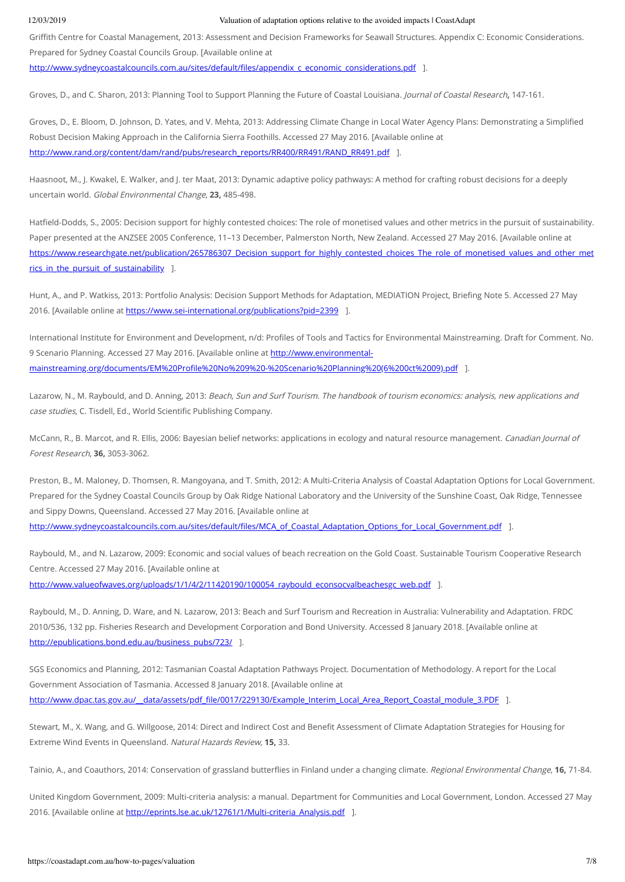Grith Centre for Coastal Management, 2013: Assessment and Decision Frameworks for Seawall Structures. Appendix C: Economic Considerations. Prepared for Sydney Coastal Councils Group. [Available online at

http://www.sydneycoastalcouncils.com.au/sites/default/files/appendix\_c\_economic\_considerations.pdf 1.

Groves, D., and C. Sharon, 2013: Planning Tool to Support Planning the Future of Coastal Louisiana. Journal of Coastal Research**,** 147-161.

Groves, D., E. Bloom, D. Johnson, D. Yates, and V. Mehta, 2013: Addressing Climate Change in Local Water Agency Plans: Demonstrating a Simplied Robust Decision Making Approach in the California Sierra Foothills. Accessed 27 May 2016. [Available online at [http://www.rand.org/content/dam/rand/pubs/research\\_reports/RR400/RR491/RAND\\_RR491.pdf](http://www.rand.org/content/dam/rand/pubs/research_reports/RR400/RR491/RAND_RR491.pdf) ].

Haasnoot, M., J. Kwakel, E. Walker, and J. ter Maat, 2013: Dynamic adaptive policy pathways: A method for crafting robust decisions for a deeply uncertain world. Global Environmental Change, **23,** 485-498.

Hatfield-Dodds, S., 2005: Decision support for highly contested choices: The role of monetised values and other metrics in the pursuit of sustainability. Paper presented at the ANZSEE 2005 Conference, 11–13 December, Palmerston North, New Zealand. Accessed 27 May 2016. [Available online at https://www.researchgate.net/publication/265786307 Decision\_support\_for\_highly\_contested\_choices\_The\_role\_of\_monetised\_values\_and\_other\_met rics in the pursuit of sustainability 1.

Hunt, A., and P. Watkiss, 2013: Portfolio Analysis: Decision Support Methods for Adaptation, MEDIATION Project, Briefing Note 5. Accessed 27 May 2016. [Available online at <https://www.sei-international.org/publications?pid=2399> ].

International Institute for Environment and Development, n/d: Profiles of Tools and Tactics for Environmental Mainstreaming. Draft for Comment. No. 9 Scenario Planning. Accessed 27 May 2016. [Available online at http://www.environmentalmainstreaming.org/documents/EM%20Profile%20No%209%20-%20Scenario%20Planning%20(6%200ct%2009).pdf ].

Lazarow, N., M. Raybould, and D. Anning, 2013: Beach, Sun and Surf Tourism. The handbook of tourism economics: analysis, new applications and case studies, C. Tisdell, Ed., World Scientific Publishing Company.

McCann, R., B. Marcot, and R. Ellis, 2006: Bayesian belief networks: applications in ecology and natural resource management. Canadian Journal of Forest Research, **36,** 3053-3062.

Preston, B., M. Maloney, D. Thomsen, R. Mangoyana, and T. Smith, 2012: A Multi-Criteria Analysis of Coastal Adaptation Options for Local Government. Prepared for the Sydney Coastal Councils Group by Oak Ridge National Laboratory and the University of the Sunshine Coast, Oak Ridge, Tennessee and Sippy Downs, Queensland. Accessed 27 May 2016. [Available online at

http://www.sydneycoastalcouncils.com.au/sites/default/files/MCA\_of\_Coastal\_Adaptation\_Options\_for\_Local\_Government.pdf ].

Raybould, M., and N. Lazarow, 2009: Economic and social values of beach recreation on the Gold Coast. Sustainable Tourism Cooperative Research Centre. Accessed 27 May 2016. [Available online at [http://www.valueofwaves.org/uploads/1/1/4/2/11420190/100054\\_raybould\\_econsocvalbeachesgc\\_web.pdf](http://www.valueofwaves.org/uploads/1/1/4/2/11420190/100054_raybould_econsocvalbeachesgc_web.pdf) ].

Raybould, M., D. Anning, D. Ware, and N. Lazarow, 2013: Beach and Surf Tourism and Recreation in Australia: Vulnerability and Adaptation. FRDC 2010/536, 132 pp. Fisheries Research and Development Corporation and Bond University. Accessed 8 January 2018. [Available online at [http://epublications.bond.edu.au/business\\_pubs/723/](http://epublications.bond.edu.au/business_pubs/723/) ].

SGS Economics and Planning, 2012: Tasmanian Coastal Adaptation Pathways Project. Documentation of Methodology. A report for the Local Government Association of Tasmania. Accessed 8 January 2018. [Available online at http://www.dpac.tas.gov.au/\_\_data/assets/pdf\_file/0017/229130/Example\_Interim\_Local\_Area\_Report\_Coastal\_module\_3.PDF ].

Stewart, M., X. Wang, and G. Willgoose, 2014: Direct and Indirect Cost and Benefit Assessment of Climate Adaptation Strategies for Housing for Extreme Wind Events in Queensland. Natural Hazards Review, **15,** 33.

Tainio, A., and Coauthors, 2014: Conservation of grassland butterflies in Finland under a changing climate. Regional Environmental Change, 16, 71-84.

United Kingdom Government, 2009: Multi-criteria analysis: a manual. Department for Communities and Local Government, London. Accessed 27 May 2016. [Available online at [http://eprints.lse.ac.uk/12761/1/Multi-criteria\\_Analysis.pdf](http://eprints.lse.ac.uk/12761/1/Multi-criteria_Analysis.pdf) ].